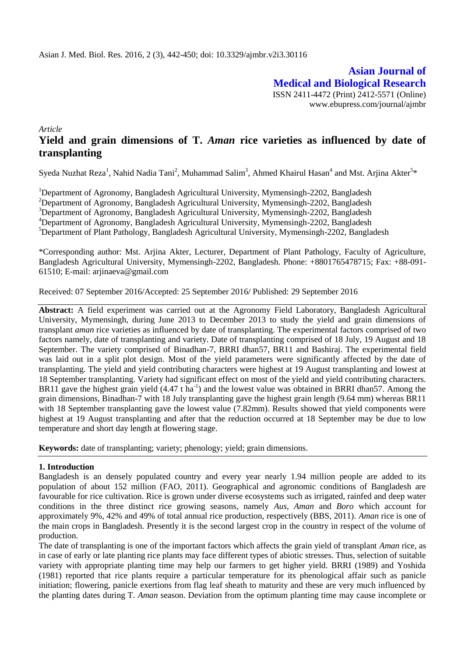**Asian Journal of Medical and Biological Research** ISSN 2411-4472 (Print) 2412-5571 (Online) www.ebupress.com/journal/ajmbr

*Article*

# **Yield and grain dimensions of T.** *Aman* **rice varieties as influenced by date of transplanting**

Syeda Nuzhat Reza<sup>1</sup>, Nahid Nadia Tani<sup>2</sup>, Muhammad Salim<sup>3</sup>, Ahmed Khairul Hasan<sup>4</sup> and Mst. Arjina Akter<sup>5\*</sup>

<sup>1</sup>Department of Agronomy, Bangladesh Agricultural University, Mymensingh-2202, Bangladesh <sup>2</sup>Department of Agronomy, Bangladesh Agricultural University, Mymensingh-2202, Bangladesh <sup>3</sup>Department of Agronomy, Bangladesh Agricultural University, Mymensingh-2202, Bangladesh <sup>4</sup>Department of Agronomy, Bangladesh Agricultural University, Mymensingh-2202, Bangladesh <sup>5</sup>Department of Plant Pathology, Bangladesh Agricultural University, Mymensingh-2202, Bangladesh

\*Corresponding author: Mst. Arjina Akter, Lecturer, Department of Plant Pathology, Faculty of Agriculture, Bangladesh Agricultural University, Mymensingh-2202, Bangladesh. Phone: +8801765478715; Fax: +88-091- 61510; E-mail: arjinaeva@gmail.com

Received: 07 September 2016/Accepted: 25 September 2016/ Published: 29 September 2016

**Abstract:** A field experiment was carried out at the Agronomy Field Laboratory, Bangladesh Agricultural University, Mymensingh, during June 2013 to December 2013 to study the yield and grain dimensions of transplant *aman* rice varieties as influenced by date of transplanting. The experimental factors comprised of two factors namely, date of transplanting and variety. Date of transplanting comprised of 18 July, 19 August and 18 September. The variety comprised of Binadhan-7, BRRI dhan57, BR11 and Bashiraj. The experimental field was laid out in a split plot design. Most of the yield parameters were significantly affected by the date of transplanting. The yield and yield contributing characters were highest at 19 August transplanting and lowest at 18 September transplanting. Variety had significant effect on most of the yield and yield contributing characters. BR11 gave the highest grain yield  $(4.47 \text{ t ha}^{-1})$  and the lowest value was obtained in BRRI dhan57. Among the grain dimensions, Binadhan-7 with 18 July transplanting gave the highest grain length (9.64 mm) whereas BR11 with 18 September transplanting gave the lowest value (7.82mm). Results showed that yield components were highest at 19 August transplanting and after that the reduction occurred at 18 September may be due to low temperature and short day length at flowering stage.

**Keywords:** date of transplanting; variety; phenology; yield; grain dimensions.

#### **1. Introduction**

Bangladesh is an densely populated country and every year nearly 1.94 million people are added to its population of about 152 million (FAO, 2011). Geographical and agronomic conditions of Bangladesh are favourable for rice cultivation. Rice is grown under diverse ecosystems such as irrigated, rainfed and deep water conditions in the three distinct rice growing seasons, namely *Aus*, *Aman* and *Boro* which account for approximately 9%, 42% and 49% of total annual rice production, respectively (BBS, 2011). *Aman* rice is one of the main crops in Bangladesh. Presently it is the second largest crop in the country in respect of the volume of production.

The date of transplanting is one of the important factors which affects the grain yield of transplant *Aman* rice, as in case of early or late planting rice plants may face different types of abiotic stresses. Thus, selection of suitable variety with appropriate planting time may help our farmers to get higher yield. BRRI (1989) and Yoshida (1981) reported that rice plants require a particular temperature for its phenological affair such as panicle initiation; flowering, panicle exertions from flag leaf sheath to maturity and these are very much influenced by the planting dates during T. *Aman* season. Deviation from the optimum planting time may cause incomplete or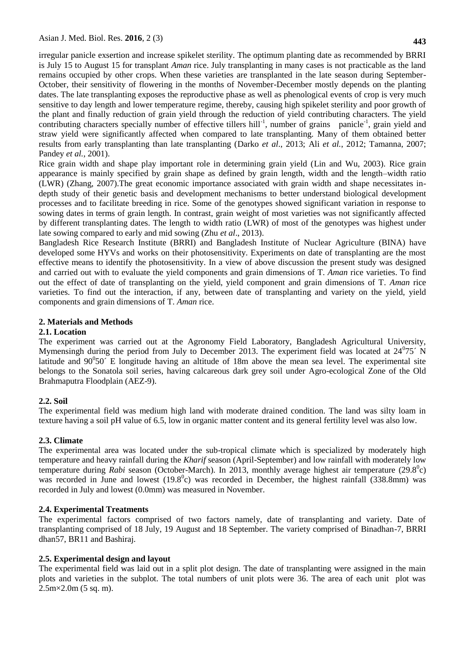irregular panicle exsertion and increase spikelet sterility. The optimum planting date as recommended by BRRI is July 15 to August 15 for transplant *Aman* rice. July transplanting in many cases is not practicable as the land remains occupied by other crops. When these varieties are transplanted in the late season during September-October, their sensitivity of flowering in the months of November-December mostly depends on the planting dates. The late transplanting exposes the reproductive phase as well as phenological events of crop is very much sensitive to day length and lower temperature regime, thereby, causing high spikelet sterility and poor growth of the plant and finally reduction of grain yield through the reduction of yield contributing characters. The yield contributing characters specially number of effective tillers hill<sup>-1</sup>, number of grains panicle<sup>-1</sup>, grain yield and straw yield were significantly affected when compared to late transplanting. Many of them obtained better results from early transplanting than late transplanting (Darko *et al*., 2013; Ali *et al.*, 2012; Tamanna, 2007; Pandey *et al.*, 2001).

Rice grain width and shape play important role in determining grain yield (Lin [and Wu,](file:///E:/NOVA/study(MS)/Experiment/thesis/imp%20for%20review/new/Quantitative%20Trait%20Loci%20(QTL)%20Analysis%20For%20Rice%20Grain%20Width%20and%20Fine%20Mapping%20of%20an%20Identified%20QTL%20Allele%20gw-5%20in%20a%20Recombination%20Hotspot%20Region%20on%20Chromosome%205.htm%23bib29) 2003). Rice grain appearance is mainly specified by grain shape as defined by grain length, width and the length–width ratio (LWR) [\(Zhang,](file:///E:/NOVA/study(MS)/Experiment/thesis/imp%20for%20review/new/Quantitative%20Trait%20Loci%20(QTL)%20Analysis%20For%20Rice%20Grain%20Width%20and%20Fine%20Mapping%20of%20an%20Identified%20QTL%20Allele%20gw-5%20in%20a%20Recombination%20Hotspot%20Region%20on%20Chromosome%205.htm%23bib75) 2007).The great economic importance associated with grain width and shape necessitates indepth study of their genetic basis and development mechanisms to better understand biological development processes and to facilitate breeding in rice. Some of the genotypes showed significant variation in response to sowing dates in terms of grain length. In contrast, grain weight of most varieties was not significantly affected by different transplanting dates. The length to width ratio (LWR) of most of the genotypes was highest under late sowing compared to early and mid sowing (Zhu *et al*., 2013).

Bangladesh Rice Research Institute (BRRI) and Bangladesh Institute of Nuclear Agriculture (BINA) have developed some HYVs and works on their photosensitivity. Experiments on date of transplanting are the most effective means to identify the photosensitivity. In a view of above discussion the present study was designed and carried out with to evaluate the yield components and grain dimensions of T. *Aman* rice varieties. To find out the effect of date of transplanting on the yield, yield component and grain dimensions of T*. Aman* rice varieties. To find out the interaction, if any, between date of transplanting and variety on the yield, yield components and grain dimensions of T. *Aman* rice.

## **2. Materials and Methods**

# **2.1. Location**

The experiment was carried out at the Agronomy Field Laboratory, Bangladesh Agricultural University, Mymensingh during the period from July to December 2013. The experiment field was located at  $24^{\circ}75'$  N latitude and  $90^{\circ}50'$  E longitude having an altitude of 18m above the mean sea level. The experimental site belongs to the Sonatola soil series, having calcareous dark grey soil under Agro-ecological Zone of the Old Brahmaputra Floodplain (AEZ-9).

# **2.2. Soil**

The experimental field was medium high land with moderate drained condition. The land was silty loam in texture having a soil pH value of 6.5, low in organic matter content and its general fertility level was also low.

# **2.3. Climate**

The experimental area was located under the sub-tropical climate which is specialized by moderately high temperature and heavy rainfall during the *Kharif* season (April-September) and low rainfall with moderately low temperature during *Rabi* season (October-March). In 2013, monthly average highest air temperature (29.8<sup>0</sup>c) was recorded in June and lowest  $(19.8^{\circ}c)$  was recorded in December, the highest rainfall  $(338.8$ mm) was recorded in July and lowest (0.0mm) was measured in November.

#### **2.4. Experimental Treatments**

The experimental factors comprised of two factors namely, date of transplanting and variety. Date of transplanting comprised of 18 July, 19 August and 18 September. The variety comprised of Binadhan-7, BRRI dhan57, BR11 and Bashiraj.

# **2.5. Experimental design and layout**

The experimental field was laid out in a split plot design. The date of transplanting were assigned in the main plots and varieties in the subplot. The total numbers of unit plots were 36. The area of each unit plot was  $2.5 \text{m} \times 2.0 \text{m}$  (5 sq. m).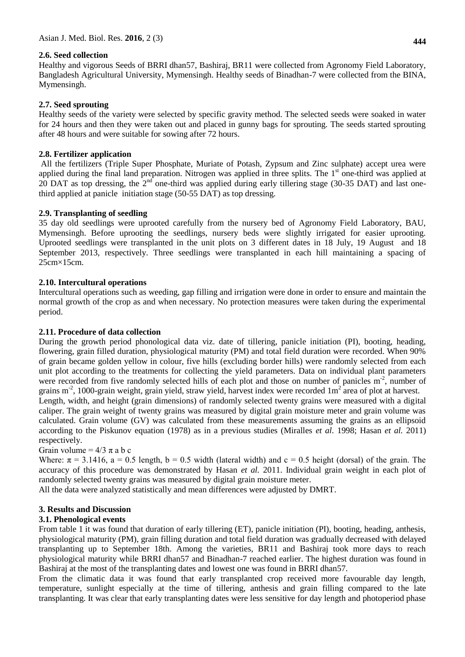## **2.6. Seed collection**

Healthy and vigorous Seeds of BRRI dhan57, Bashiraj, BR11 were collected from Agronomy Field Laboratory, Bangladesh Agricultural University, Mymensingh. Healthy seeds of Binadhan-7 were collected from the BINA, Mymensingh.

## **2.7. Seed sprouting**

Healthy seeds of the variety were selected by specific gravity method. The selected seeds were soaked in water for 24 hours and then they were taken out and placed in gunny bags for sprouting. The seeds started sprouting after 48 hours and were suitable for sowing after 72 hours.

## **2.8. Fertilizer application**

All the fertilizers (Triple Super Phosphate, Muriate of Potash, Zypsum and Zinc sulphate) accept urea were applied during the final land preparation. Nitrogen was applied in three splits. The  $1<sup>st</sup>$  one-third was applied at 20 DAT as top dressing, the 2<sup>nd</sup> one-third was applied during early tillering stage (30-35 DAT) and last onethird applied at panicle initiation stage (50-55 DAT) as top dressing.

## **2.9. Transplanting of seedling**

35 day old seedlings were uprooted carefully from the nursery bed of Agronomy Field Laboratory, BAU, Mymensingh. Before uprooting the seedlings, nursery beds were slightly irrigated for easier uprooting. Uprooted seedlings were transplanted in the unit plots on 3 different dates in 18 July, 19 August and 18 September 2013, respectively. Three seedlings were transplanted in each hill maintaining a spacing of 25cm×15cm.

## **2.10. Intercultural operations**

Intercultural operations such as weeding, gap filling and irrigation were done in order to ensure and maintain the normal growth of the crop as and when necessary. No protection measures were taken during the experimental period.

#### **2.11. Procedure of data collection**

During the growth period phonological data viz. date of tillering, panicle initiation (PI), booting, heading, flowering, grain filled duration, physiological maturity (PM) and total field duration were recorded. When 90% of grain became golden yellow in colour, five hills (excluding border hills) were randomly selected from each unit plot according to the treatments for collecting the yield parameters. Data on individual plant parameters were recorded from five randomly selected hills of each plot and those on number of panicles m<sup>-2</sup>, number of grains m<sup>-2</sup>, 1000-grain weight, grain yield, straw yield, harvest index were recorded  $1m^2$  area of plot at harvest.

Length, width, and height (grain dimensions) of randomly selected twenty grains were measured with a digital caliper. The grain weight of twenty grains was measured by digital grain moisture meter and grain volume was calculated. Grain volume (GV) was calculated from these measurements assuming the grains as an ellipsoid according to the Piskunov equation (1978) as in a previous studies (Miralles *et al*. 1998; Hasan *et al.* 2011) respectively.

Grain volume =  $4/3 \pi$  a b c

Where:  $\pi = 3.1416$ ,  $a = 0.5$  length,  $b = 0.5$  width (lateral width) and  $c = 0.5$  height (dorsal) of the grain. The accuracy of this procedure was demonstrated by Hasan *et al.* 2011. Individual grain weight in each plot of randomly selected twenty grains was measured by digital grain moisture meter.

All the data were analyzed statistically and mean differences were adjusted by DMRT.

#### **3. Results and Discussion**

#### **3.1. Phenological events**

From table 1 it was found that duration of early tillering (ET), panicle initiation (PI), booting, heading, anthesis, physiological maturity (PM), grain filling duration and total field duration was gradually decreased with delayed transplanting up to September 18th. Among the varieties, BR11 and Bashiraj took more days to reach physiological maturity while BRRI dhan57 and Binadhan-7 reached earlier. The highest duration was found in Bashiraj at the most of the transplanting dates and lowest one was found in BRRI dhan57.

From the climatic data it was found that early transplanted crop received more favourable day length, temperature, sunlight especially at the time of tillering, anthesis and grain filling compared to the late transplanting. It was clear that early transplanting dates were less sensitive for day length and photoperiod phase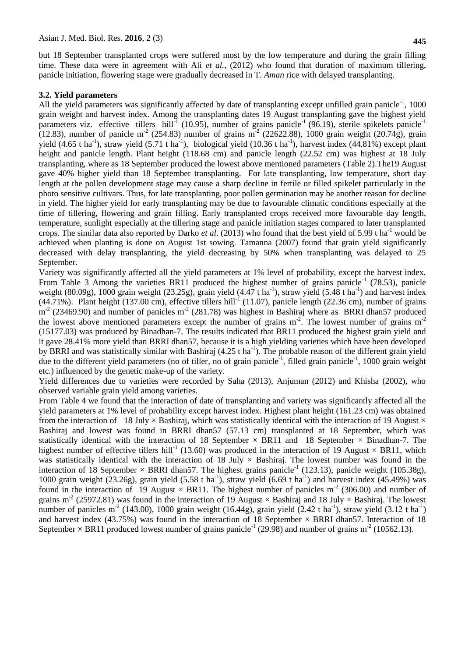but 18 September transplanted crops were suffered most by the low temperature and during the grain filling time. These data were in agreement with Ali *et al.*, (2012) who found that duration of maximum tillering, panicle initiation, flowering stage were gradually decreased in T. *Aman* rice with delayed transplanting.

#### **3.2. Yield parameters**

All the yield parameters was significantly affected by date of transplanting except unfilled grain panicle<sup>-1</sup>, 1000 grain weight and harvest index. Among the transplanting dates 19 August transplanting gave the highest yield parameters viz. effective tillers hill<sup>-1</sup> (10.95), number of grains panicle<sup>-1</sup> (96.19), sterile spikelets panicle<sup>-1</sup>  $(12.83)$ , number of panicle m<sup>-2</sup> (254.83) number of grains m<sup>-2</sup> (22622.88), 1000 grain weight (20.74g), grain yield (4.65 t ha<sup>-1</sup>), straw yield (5.71 t ha<sup>-1</sup>), biological yield (10.36 t ha<sup>-1</sup>), harvest index (44.81%) except plant height and panicle length. Plant height (118.68 cm) and panicle length (22.52 cm) was highest at 18 July transplanting, where as 18 September produced the lowest above mentioned parameters (Table 2).The19 August gave 40% higher yield than 18 September transplanting. For late transplanting, low temperature, short day length at the pollen development stage may cause a sharp decline in fertile or filled spikelet particularly in the photo sensitive cultivars. Thus, for late transplanting, poor pollen germination may be another reason for decline in yield. The higher yield for early transplanting may be due to favourable climatic conditions especially at the time of tillering, flowering and grain filling. Early transplanted crops received more favourable day length, temperature, sunlight especially at the tillering stage and panicle initiation stages compared to later transplanted crops. The similar data also reported by Darko *et al.* (2013) who found that the best yield of 5.99 t ha<sup>-1</sup> would be achieved when planting is done on August 1st sowing. Tamanna (2007) found that grain yield significantly decreased with delay transplanting, the yield decreasing by 50% when transplanting was delayed to 25 September.

Variety was significantly affected all the yield parameters at 1% level of probability, except the harvest index. From Table 3 Among the varieties BR11 produced the highest number of grains panicle<sup>-1</sup> (78.53), panicle weight (80.09g), 1000 grain weight (23.25g), grain yield (4.47 t ha<sup>-1</sup>), straw yield (5.48 t ha<sup>-1</sup>) and harvest index  $(44.71\%)$ . Plant height (137.00 cm), effective tillers hill<sup>-1</sup> (11.07), panicle length (22.36 cm), number of grains  $m<sup>2</sup>$  (23469.90) and number of panicles  $m<sup>2</sup>$  (281.78) was highest in Bashiraj where as BRRI dhan57 produced the lowest above mentioned parameters except the number of grains  $m<sup>2</sup>$ . The lowest number of grains  $m<sup>2</sup>$ (15177.03) was produced by Binadhan-7. The results indicated that BR11 produced the highest grain yield and it gave 28.41% more yield than BRRI dhan57, because it is a high yielding varieties which have been developed by BRRI and was statistically similar with Bashiraj (4.25 t ha<sup>-1</sup>). The probable reason of the different grain yield due to the different yield parameters (no of tiller, no of grain panicle $^{-1}$ , filled grain panicle $^{-1}$ , 1000 grain weight etc.) influenced by the genetic make-up of the variety.

Yield differences due to varieties were recorded by Saha (2013), Anjuman (2012) and Khisha (2002), who observed variable grain yield among varieties.

From Table 4 we found that the interaction of date of transplanting and variety was significantly affected all the yield parameters at 1% level of probability except harvest index. Highest plant height (161.23 cm) was obtained from the interaction of 18 July  $\times$  Bashiraj, which was statistically identical with the interaction of 19 August  $\times$ Bashiraj and lowest was found in BRRI dhan57 (57.13 cm) transplanted at 18 September, which was statistically identical with the interaction of 18 September  $\times$  BR11 and 18 September  $\times$  Binadhan-7. The highest number of effective tillers hill<sup>-1</sup> (13.60) was produced in the interaction of 19 August  $\times$  BR11, which was statistically identical with the interaction of 18 July  $\times$  Bashiraj. The lowest number was found in the interaction of 18 September  $\times$  BRRI dhan57. The highest grains panicle<sup>-1</sup> (123.13), panicle weight (105.38g), 1000 grain weight (23.26g), grain yield (5.58 t ha<sup>-1</sup>), straw yield (6.69 t ha<sup>-1</sup>) and harvest index (45.49%) was found in the interaction of 19 August  $\times$  BR11. The highest number of panicles m<sup>-2</sup> (306.00) and number of grains m<sup>-2</sup> (25972.81) was found in the interaction of 19 August  $\times$  Bashiraj and 18 July  $\times$  Bashiraj. The lowest number of panicles m<sup>-2</sup> (143.00), 1000 grain weight (16.44g), grain yield (2.42 t ha<sup>-1</sup>), straw yield (3.12 t ha<sup>-1</sup>) and harvest index (43.75%) was found in the interaction of 18 September  $\times$  BRRI dhan57. Interaction of 18 September  $\times$  BR11 produced lowest number of grains panicle<sup>-1</sup> (29.98) and number of grains m<sup>-2</sup> (10562.13).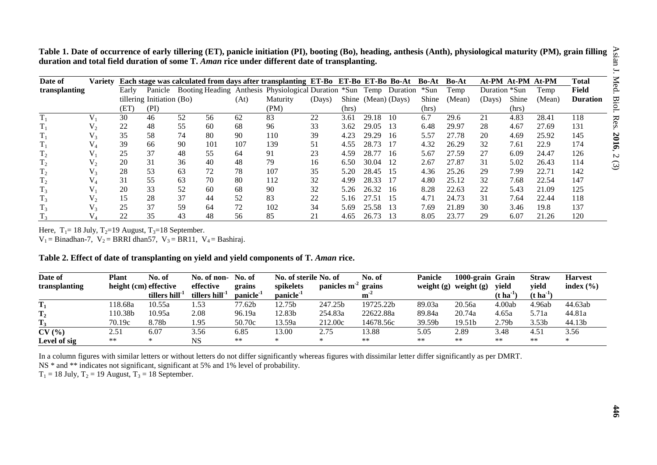**Table 1. Date of occurrence of early tillering (ET), panicle initiation (PI), booting (Bo), heading, anthesis (Anth), physiological maturity (PM), grain filling duration and total field duration of some T.** *Aman* **rice under different date of transplanting.**

| Date of        | <b>Variety</b> |       |                           |    |     |      | Each stage was calculated from days after transplanting ET-Bo ET-Bo ET-Bo Bo-At |        |       |                     |      | Bo-At | Bo-At  | At-PM At-PM At-PM |       |        | Total           |
|----------------|----------------|-------|---------------------------|----|-----|------|---------------------------------------------------------------------------------|--------|-------|---------------------|------|-------|--------|-------------------|-------|--------|-----------------|
| transplanting  |                | Early | Panicle                   |    |     |      | Booting Heading Anthesis Physiological Duration *Sun Temp Duration *Sun         |        |       |                     |      |       | Temp   | Duration *Sun     |       | Temp   | Field           |
|                |                |       | tillering Initiation (Bo) |    |     | (At) | Maturity                                                                        | (Days) |       | Shine (Mean) (Days) |      | Shine | (Mean) | (Days)            | Shine | (Mean) | <b>Duration</b> |
|                |                | (ET)  | (PI)                      |    |     |      | (PM)                                                                            |        | (hrs) |                     |      | (hrs) |        |                   | (hrs) |        |                 |
|                |                | 30    | 46                        | 52 | 56  | 62   | 83                                                                              | 22     | 3.61  | 29.18               | 10   | 6.7   | 29.6   | 21                | 4.83  | 28.41  | 118             |
|                | V,             | 22    | 48                        | 55 | 60  | 68   | 96                                                                              | 33     | 3.62  | 29.05               | -13  | 6.48  | 29.97  | 28                | 4.67  | 27.69  | 131             |
|                | $V_{3}$        | 35    | 58                        | 74 | 80  | 90   | 110                                                                             | 39     | 4.23  | 29.29               | -16  | 5.57  | 27.78  | 20                | 4.69  | 25.92  | 145             |
|                |                | 39    | 66                        | 90 | 101 | 107  | 139                                                                             | 51     | 4.55  | 28.73               | -17  | 4.32  | 26.29  | 32                | 7.61  | 22.9   | 174             |
| T <sub>2</sub> |                | 25    | 37                        | 48 | 55  | 64   | 91                                                                              | 23     | 4.59  | 28.77               | -16  | 5.67  | 27.59  | 27                | 6.09  | 24.47  | 126             |
| T <sub>2</sub> | $V_{2}$        | 20    | 31                        | 36 | 40  | 48   | 79                                                                              | 16     | 6.50  | 30.04               | -12  | 2.67  | 27.87  | 31                | 5.02  | 26.43  | 114             |
| T <sub>2</sub> | $V_{3}$        | 28    | 53                        | 63 | 72  | 78   | 107                                                                             | 35     | 5.20  | 28.45               | - 15 | 4.36  | 25.26  | 29                | 7.99  | 22.71  | 142             |
| T <sub>2</sub> |                | 31    | 55                        | 63 | 70  | 80   | 112                                                                             | 32     | 4.99  | 28.33               | -17  | 4.80  | 25.12  | 32                | 7.68  | 22.54  | 147             |
| $T_3$          |                | 20    | 33                        | 52 | 60  | 68   | 90                                                                              | 32     | 5.26  | 26.32               | -16  | 8.28  | 22.63  | 22                | 5.43  | 21.09  | 125             |
| $T_3$          | V,             | 15    | 28                        | 37 | 44  | 52   | 83                                                                              | 22     | 5.16  | 27.51               | - 15 | 4.71  | 24.73  | 31                | 7.64  | 22.44  | 118             |
|                |                | 25    | 37                        | 59 | 64  | 72   | 102                                                                             | 34     | 5.69  | 25.58               | -13  | 7.69  | 21.89  | 30                | 3.46  | 19.8   | 137             |
|                |                | 22    | 35                        | 43 | 48  | 56   | 85                                                                              | 21     | 4.65  | 26.73               | -13  | 8.05  | 23.77  | 29                | 6.07  | 21.26  | 120             |

Here,  $T_1 = 18$  July,  $T_2 = 19$  August,  $T_3 = 18$  September.

 $V_1 = Binadhan-7$ ,  $V_2 = BRRI dhan57$ ,  $V_3 = BR11$ ,  $V_4 = Bashirai$ .

Table 2. Effect of date of transplanting on yield and yield components of T. *Aman* rice.

| Date of             | Plant                 | No. of       | No. of non-                | No. of                | No. of sterile No. of |               | No. of    | <b>Panicle</b> | 1000-grain Grain |                        | <b>Straw</b>           | <b>Harvest</b> |
|---------------------|-----------------------|--------------|----------------------------|-----------------------|-----------------------|---------------|-----------|----------------|------------------|------------------------|------------------------|----------------|
| transplanting       | height (cm) effective |              | effective                  | grains                | spikelets             | panicles $m2$ | grains    | weight $(g)$   | weight $(g)$     | yield                  | vield                  | index $(\% )$  |
|                     |                       | tillers hill | tillers hill <sup>-1</sup> | panicle <sup>-1</sup> | panicle <sup>-1</sup> |               | m         |                |                  | $(t)$ ha <sup>-1</sup> | $(t)$ ha <sup>-1</sup> |                |
| m<br>1 <sub>1</sub> | 18.68a                | 10.55a       | 1.53                       | 77.62b                | 12.75b                | 247.25b       | 19725.22b | 89.03a         | 20.56a           | 4.00ab                 | 4.96ab                 | 44.63ab        |
| T <sub>2</sub>      | 10.38b                | 10.95a       | 2.08                       | 96.19a                | 12.83b                | 254.83a       | 22622.88a | 89.84a         | 20.74a           | 4.65a                  | 5.71a                  | 44.81a         |
| $T_3$               | 70.19c                | 8.78b        | 1.95                       | 50.70c                | 13.59a                | 212.00c       | 14678.56c | 39.59b         | 19.51b           | 2.79 <sub>b</sub>      | 3.53 <sub>b</sub>      | 44.13b         |
| CV(%)               | 2.51                  | 6.07         | 3.56                       | 6.85                  | 13.00                 | 2.75          | 3.88      | 5.05           | 2.89             | 3.48                   | 4.51                   | 3.56           |
| Level of sig        | $***$                 | $\ast$       | <b>NS</b>                  | $***$                 | ×                     | $\ast$        | $***$     | **             | $***$            | **                     | **                     | $\ast$         |

In a column figures with similar letters or without letters do not differ significantly whereas figures with dissimilar letter differ significantly as per DMRT.

NS \* and \*\* indicates not significant, significant at 5% and 1% level of probability.

 $T_1 = 18$  July,  $T_2 = 19$  August,  $T_3 = 18$  September.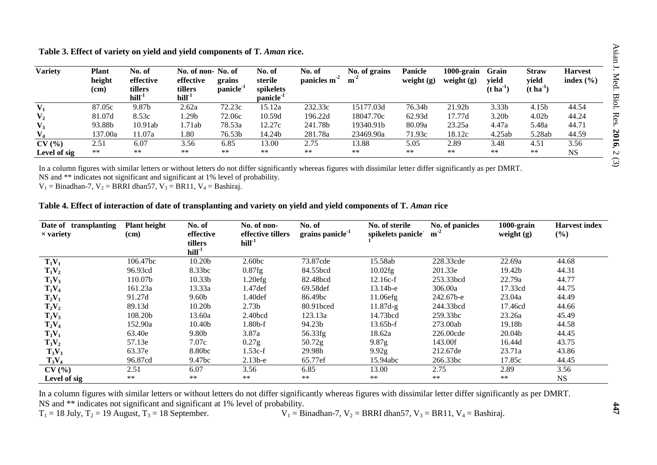| <b>Variety</b> | Plant<br>height<br>(cm) | No. of<br>effective<br>tillers<br>$hill-1$ | No. of non-No. of<br>effective<br>tillers<br>$hill-1$ | grains<br>panicle <sup>-1</sup> | No. of<br>sterile<br>spikelets<br>panicle <sup>-1</sup> | No. of<br>panicles $m2$ | No. of grains<br>m <sup>2</sup> | <b>Panicle</b><br>weight $(g)$ | $1000$ -grain<br>weight $(g)$ | Grain<br>yield<br>$(\text{t} \text{ ha}^{-1})$ | <b>Straw</b><br>yield<br>$(t \, \text{ha}^{-1})$ | <b>Harvest</b><br>index $(\% )$ |
|----------------|-------------------------|--------------------------------------------|-------------------------------------------------------|---------------------------------|---------------------------------------------------------|-------------------------|---------------------------------|--------------------------------|-------------------------------|------------------------------------------------|--------------------------------------------------|---------------------------------|
| $V_1$          | 87.05c                  | 9.87b                                      | 2.62a                                                 | 72.23c                          | 15.12a                                                  | 232.33c                 | 15177.03d                       | 76.34b                         | 21.92b                        | 3.33 <sub>b</sub>                              | 4.15b                                            | 44.54                           |
| $\mathbf{V}_2$ | 81.07d                  | 8.53c                                      | .29b                                                  | 72.06c                          | 10.59d                                                  | 196.22d                 | 18047.70c                       | 62.93d                         | 17.77d                        | 3.20 <sub>b</sub>                              | 4.02 <sub>b</sub>                                | 44.24                           |
| $V_3$          | 93.88b                  | 10.91ab                                    | 1.71ab                                                | 78.53a                          | 12.27c                                                  | 241.78b                 | 19340.91b                       | 80.09a                         | 23.25a                        | 4.47a                                          | 5.48a                                            | 44.71                           |
| $\mathbf{V}_4$ | 137.00a                 | 11.07a                                     | 1.80                                                  | 76.53b                          | 14.24b                                                  | 281.78a                 | 23469.90a                       | 71.93c                         | 18.12c                        | 4.25ab                                         | 5.28ab                                           | 44.59                           |
| CV(%)          | 2.51                    | 6.07                                       | 3.56                                                  | 6.85                            | 13.00                                                   | 2.75                    | 13.88                           | 5.05                           | 2.89                          | 3.48                                           | 4.51                                             | 3.56                            |
| Level of sig   | $***$                   | $**$                                       | $**$                                                  | $***$                           | $**$                                                    | $***$                   | $**$                            | $***$                          | $***$                         | **                                             | $**$                                             | <b>NS</b>                       |

**Table 3. Effect of variety on yield and yield components of T.** *Aman* **rice.**

In a column figures with similar letters or without letters do not differ significantly whereas figures with dissimilar letter differ significantly as per DMRT.

NS and \*\* indicates not significant and significant at 1% level of probability.

 $V_1$  = Binadhan-7,  $V_2$  = BRRI dhan57,  $V_3$  = BR11,  $V_4$  = Bashiraj.

#### Table 4. Effect of interaction of date of transplanting and variety on yield and yield components of T. *Aman* rice

| Date of transplanting<br>$\times$ variety | <b>Plant height</b><br>(cm) | No. of<br>effective<br>tillers<br>$hill-1$ | No. of non-<br>effective tillers<br>$hill-1$ | No. of<br>grains panicle <sup>-1</sup> | No. of sterile<br>spikelets panicle | No. of panicles<br>$m-2$ | $1000$ -grain<br>weight $(g)$ | <b>Harvest index</b><br>(%) |
|-------------------------------------------|-----------------------------|--------------------------------------------|----------------------------------------------|----------------------------------------|-------------------------------------|--------------------------|-------------------------------|-----------------------------|
| $T_1V_1$                                  | 106.47bc                    | 10.20b                                     | 2.60 <sub>bc</sub>                           | 73.87cde                               | 15.58ab                             | 228.33cde                | 22.69a                        | 44.68                       |
| $T_1V_2$                                  | 96.93cd                     | 8.33bc                                     | 0.87fg                                       | 84.55bcd                               | 10.02fg                             | 201.33e                  | 19.42b                        | 44.31                       |
| $T_1V_3$                                  | 110.07b                     | 10.33 <sub>b</sub>                         | 1.20efg                                      | 82.48bcd                               | $12.16c-f$                          | 253.33bcd                | 22.79a                        | 44.77                       |
| $T_1V_4$                                  | 161.23a                     | 13.33a                                     | 1.47 def                                     | 69.58def                               | $13.14b-e$                          | 306.00a                  | 17.33cd                       | 44.75                       |
| $T_2V_1$                                  | 91.27d                      | 9.60 <sub>b</sub>                          | 1.40def                                      | 86.49bc                                | $11.06$ efg                         | 242.67b-e                | 23.04a                        | 44.49                       |
| $T_2V_2$                                  | 89.13d                      | 10.20 <sub>b</sub>                         | 2.73 <sub>b</sub>                            | 80.91bced                              | $11.87d-g$                          | 244.33bcd                | 17.46cd                       | 44.66                       |
| $T_2V_3$                                  | 108.20b                     | 13.60a                                     | 2.40bcd                                      | 123.13a                                | 14.73bcd                            | 259.33bc                 | 23.26a                        | 45.49                       |
| $T_2V_4$                                  | 152.90a                     | 10.40b                                     | $1.80b-f$                                    | 94.23b                                 | $13.65b-f$                          | 273.00ab                 | 19.18b                        | 44.58                       |
| $T_3V_1$                                  | 63.40e                      | 9.80b                                      | 3.87a                                        | 56.33fg                                | 18.62a                              | 226.00cde                | 20.04b                        | 44.45                       |
| $T_3V_2$                                  | 57.13e                      | 7.07c                                      | 0.27g                                        | $50.72$ g                              | 9.87 <sub>g</sub>                   | 143.00f                  | 16.44d                        | 43.75                       |
| $T_3V_3$                                  | 63.37e                      | 8.80bc                                     | $1.53c-f$                                    | 29.98h                                 | 9.92g                               | 212.67de                 | 23.71a                        | 43.86                       |
| $T_3V_4$                                  | 96.87cd                     | 9.47bc                                     | $2.13b-e$                                    | 65.77ef                                | 15.94abc                            | 266.33bc                 | 17.85c                        | 44.45                       |
| CV(%)                                     | 2.51                        | 6.07                                       | 3.56                                         | 6.85                                   | 13.00                               | 2.75                     | 2.89                          | 3.56                        |
| Level of sig                              | $***$                       | $***$                                      | $***$                                        | $**$                                   | $***$                               | $***$                    | $***$                         | <b>NS</b>                   |

In a column figures with similar letters or without letters do not differ significantly whereas figures with dissimilar letter differ significantly as per DMRT. NS and \*\* indicates not significant and significant at 1% level of probability.<br>T<sub>1</sub> = 18 July, T<sub>2</sub> = 19 August, T<sub>3</sub> = 18 September.  $V_1 = B_2$ 

 $V_1$  = Binadhan-7,  $V_2$  = BRRI dhan57,  $V_3$  = BR11,  $V_4$  = Bashiraj.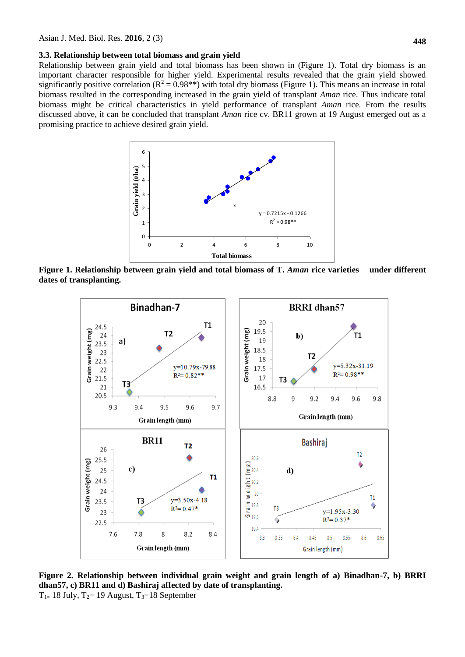#### **3.3. Relationship between total biomass and grain yield**

Relationship between grain yield and total biomass has been shown in (Figure 1). Total dry biomass is an important character responsible for higher yield. Experimental results revealed that the grain yield showed significantly positive correlation ( $R^2 = 0.98**$ ) with total dry biomass (Figure 1). This means an increase in total biomass resulted in the corresponding increased in the grain yield of transplant *Aman* rice. Thus indicate total biomass might be critical characteristics in yield performance of transplant *Aman* rice. From the results discussed above, it can be concluded that transplant *Aman* rice cv. BR11 grown at 19 August emerged out as a promising practice to achieve desired grain yield.



**Figure 1. Relationship between grain yield and total biomass of T.** *Aman* **rice varieties under different dates of transplanting.**



**Figure 2. Relationship between individual grain weight and grain length of a) Binadhan-7, b) BRRI dhan57, c) BR11 and d) Bashiraj affected by date of transplanting.**  $T_{1=}$  18 July,  $T_{2}=$  19 August,  $T_{3}=$  18 September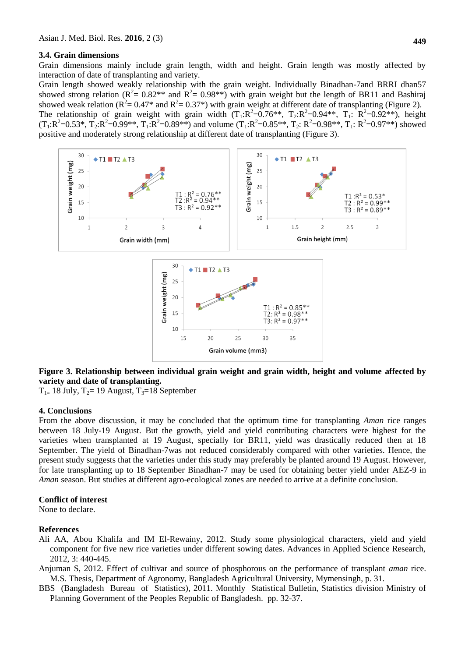#### **3.4. Grain dimensions**

Grain dimensions mainly include grain length, width and height. Grain length was mostly affected by interaction of date of transplanting and variety.

Grain length showed weakly relationship with the grain weight. Individually Binadhan-7and BRRI dhan57 showed strong relation ( $R^2 = 0.82^{**}$  and  $R^2 = 0.98^{**}$ ) with grain weight but the length of BR11 and Bashiraj showed weak relation ( $R^2 = 0.47^*$  and  $R^2 = 0.37^*$ ) with grain weight at different date of transplanting (Figure 2). The relationship of grain weight with grain width  $(T_1:R^2=0.76**, T_2:R^2=0.94**, T_1: R^2=0.92**)$ , height  $(T_1:R^2=0.53^*, T_2:R^2=0.99^{**}, T_1:R^2=0.89^{**})$  and volume  $(T_1:R^2=0.85^{**}, T_2: R^2=0.98^{**}, T_1: R^2=0.97^{**})$  showed

positive and moderately strong relationship at different date of transplanting (Figure 3).



#### **Figure 3. Relationship between individual grain weight and grain width, height and volume affected by variety and date of transplanting.**

 $T_{1=}$  18 July,  $T_{2}=$  19 August,  $T_{3}=$  18 September

#### **4. Conclusions**

From the above discussion, it may be concluded that the optimum time for transplanting *Aman* rice ranges between 18 July-19 August. But the growth, yield and yield contributing characters were highest for the varieties when transplanted at 19 August, specially for BR11, yield was drastically reduced then at 18 September. The yield of Binadhan-7was not reduced considerably compared with other varieties. Hence, the present study suggests that the varieties under this study may preferably be planted around 19 August. However, for late transplanting up to 18 September Binadhan-7 may be used for obtaining better yield under AEZ-9 in *Aman* season. But studies at different agro-ecological zones are needed to arrive at a definite conclusion.

#### **Conflict of interest**

None to declare.

#### **References**

- Ali AA, Abou Khalifa and IM El-Rewainy, 2012. Study some physiological characters, yield and yield component for five new rice varieties under different sowing dates. Advances in Applied Science Research, 2012, 3: 440-445.
- Anjuman S, 2012. Effect of cultivar and source of phosphorous on the performance of transplant *aman* rice. M.S. Thesis, Department of Agronomy, Bangladesh Agricultural University, Mymensingh, p. 31.
- BBS (Bangladesh Bureau of Statistics), 2011. Monthly Statistical Bulletin, Statistics division Ministry of Planning Government of the Peoples Republic of Bangladesh. pp. 32-37.